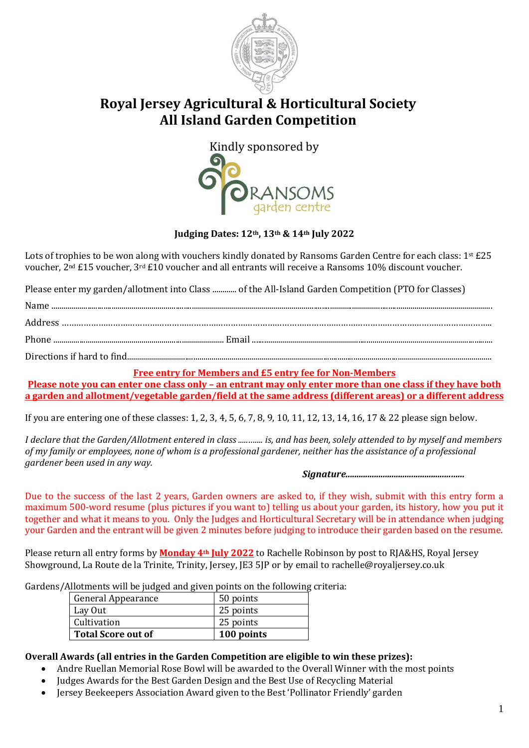

# **Royal Jersey Agricultural & Horticultural Society All Island Garden Competition**

Kindly sponsored by

#### **Judging Dates: 12th, 13th & 14th July 2022**

Lots of trophies to be won along with vouchers kindly donated by Ransoms Garden Centre for each class:  $1^{st}$  £25 voucher, 2nd £15 voucher, 3rd £10 voucher and all entrants will receive a Ransoms 10% discount voucher.

Please enter my garden/allotment into Class ............ of the All-Island Garden Competition (PTO for Classes)

Name ............................................................................................................................................................................................................................

Address …………………………………………………………………………………………………………………………………………………………..

Phone ..................................................................................... Email ........................................................................................................................

Directions if hard to find......................................................................................................................................................................................

**Free entry for Members and £5 entry fee for Non-Members**

**Please note you can enter one class only – an entrant may only enter more than one class if they have both a garden and allotment/vegetable garden/field at the same address (different areas) or a different address**

If you are entering one of these classes: 1, 2, 3, 4, 5, 6, 7, 8, 9, 10, 11, 12, 13, 14, 16, 17 & 22 please sign below.

*I declare that the Garden/Allotment entered in class .....….... is, and has been, solely attended to by myself and members of my family or employees, none of whom is a professional gardener, neither has the assistance of a professional gardener been used in any way.*

 *Signature......................................................*

Due to the success of the last 2 years, Garden owners are asked to, if they wish, submit with this entry form a maximum 500-word resume (plus pictures if you want to) telling us about your garden, its history, how you put it together and what it means to you. Only the Judges and Horticultural Secretary will be in attendance when judging your Garden and the entrant will be given 2 minutes before judging to introduce their garden based on the resume.

Please return all entry forms by **Monday 4th July 2022** to Rachelle Robinson by post to RJA&HS, Royal Jersey Showground, La Route de la Trinite, Trinity, Jersey, JE3 5JP or by email to rachelle@royaljersey.co.uk

Gardens/Allotments will be judged and given points on the following criteria:

| <b>Total Score out of</b> | 100 points |
|---------------------------|------------|
| Cultivation               | 25 points  |
| Lay Out                   | 25 points  |
| General Appearance        | 50 points  |

#### **Overall Awards (all entries in the Garden Competition are eligible to win these prizes):**

- Andre Ruellan Memorial Rose Bowl will be awarded to the Overall Winner with the most points
- Judges Awards for the Best Garden Design and the Best Use of Recycling Material
- Jersey Beekeepers Association Award given to the Best 'Pollinator Friendly' garden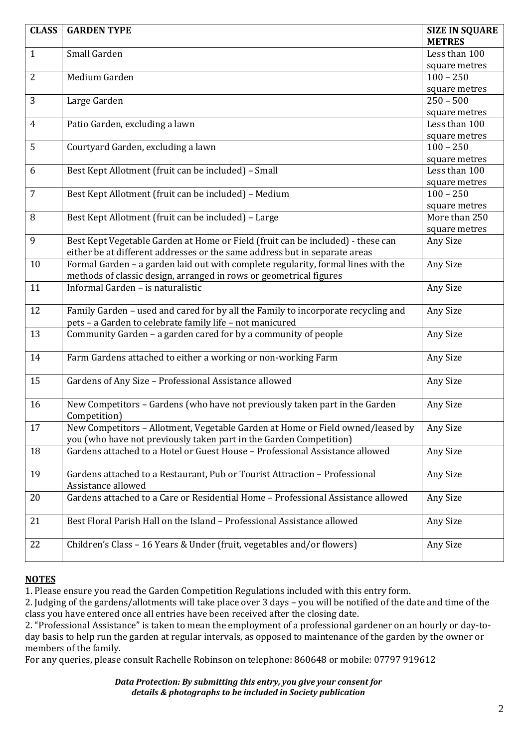| <b>CLASS</b>   | <b>GARDEN TYPE</b>                                                                                                                                   | <b>SIZE IN SQUARE</b> |
|----------------|------------------------------------------------------------------------------------------------------------------------------------------------------|-----------------------|
|                |                                                                                                                                                      | <b>METRES</b>         |
| $\mathbf{1}$   | Small Garden                                                                                                                                         | Less than 100         |
|                |                                                                                                                                                      | square metres         |
| $\overline{2}$ | Medium Garden                                                                                                                                        | $100 - 250$           |
|                |                                                                                                                                                      | square metres         |
| 3              | Large Garden                                                                                                                                         | $250 - 500$           |
|                |                                                                                                                                                      | square metres         |
| $\overline{4}$ | Patio Garden, excluding a lawn                                                                                                                       | Less than 100         |
|                |                                                                                                                                                      | square metres         |
| 5              | Courtyard Garden, excluding a lawn                                                                                                                   | $100 - 250$           |
|                |                                                                                                                                                      | square metres         |
| 6              | Best Kept Allotment (fruit can be included) - Small                                                                                                  | Less than 100         |
|                |                                                                                                                                                      | square metres         |
| 7              | Best Kept Allotment (fruit can be included) - Medium                                                                                                 | $100 - 250$           |
|                |                                                                                                                                                      | square metres         |
| 8              | Best Kept Allotment (fruit can be included) - Large                                                                                                  | More than 250         |
|                |                                                                                                                                                      | square metres         |
| 9              | Best Kept Vegetable Garden at Home or Field (fruit can be included) - these can                                                                      | Any Size              |
|                | either be at different addresses or the same address but in separate areas                                                                           |                       |
| 10             | Formal Garden - a garden laid out with complete regularity, formal lines with the                                                                    | Any Size              |
|                | methods of classic design, arranged in rows or geometrical figures                                                                                   |                       |
| 11             | Informal Garden - is naturalistic                                                                                                                    | Any Size              |
| 12             | Family Garden - used and cared for by all the Family to incorporate recycling and                                                                    | Any Size              |
|                | pets - a Garden to celebrate family life - not manicured                                                                                             |                       |
| 13             | Community Garden - a garden cared for by a community of people                                                                                       | Any Size              |
| 14             |                                                                                                                                                      | Any Size              |
|                | Farm Gardens attached to either a working or non-working Farm                                                                                        |                       |
| 15             | Gardens of Any Size - Professional Assistance allowed                                                                                                | Any Size              |
|                |                                                                                                                                                      |                       |
| 16             | New Competitors - Gardens (who have not previously taken part in the Garden<br>Competition)                                                          | Any Size              |
| 17             | New Competitors - Allotment, Vegetable Garden at Home or Field owned/leased by<br>you (who have not previously taken part in the Garden Competition) | Any Size              |
| 18             | Gardens attached to a Hotel or Guest House - Professional Assistance allowed                                                                         | Any Size              |
| 19             | Gardens attached to a Restaurant, Pub or Tourist Attraction - Professional<br>Assistance allowed                                                     | Any Size              |
| 20             | Gardens attached to a Care or Residential Home - Professional Assistance allowed                                                                     | Any Size              |
| 21             | Best Floral Parish Hall on the Island - Professional Assistance allowed                                                                              | Any Size              |
| 22             | Children's Class - 16 Years & Under (fruit, vegetables and/or flowers)                                                                               | Any Size              |

## **NOTES**

1. Please ensure you read the Garden Competition Regulations included with this entry form.

2. Judging of the gardens/allotments will take place over 3 days – you will be notified of the date and time of the class you have entered once all entries have been received after the closing date.

2. "Professional Assistance" is taken to mean the employment of a professional gardener on an hourly or day-today basis to help run the garden at regular intervals, as opposed to maintenance of the garden by the owner or members of the family.

For any queries, please consult Rachelle Robinson on telephone: 860648 or mobile: 07797 919612

*Data Protection: By submitting this entry, you give your consent for details & photographs to be included in Society publication*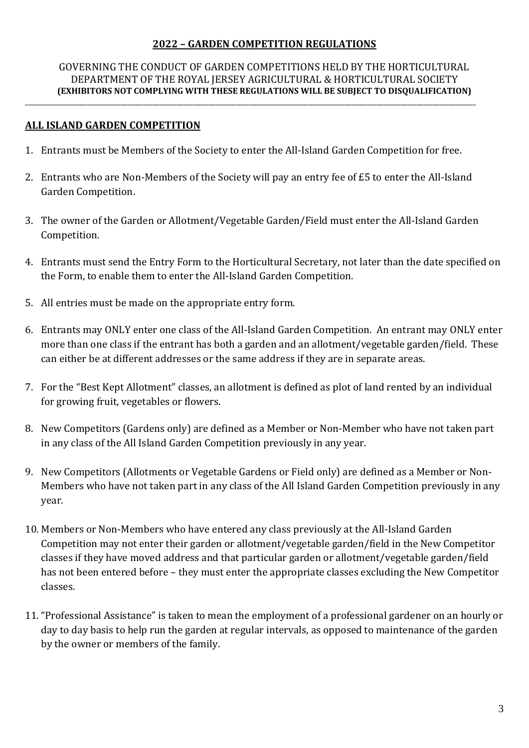## **2022 – GARDEN COMPETITION REGULATIONS**

#### GOVERNING THE CONDUCT OF GARDEN COMPETITIONS HELD BY THE HORTICULTURAL DEPARTMENT OF THE ROYAL JERSEY AGRICULTURAL & HORTICULTURAL SOCIETY **(EXHIBITORS NOT COMPLYING WITH THESE REGULATIONS WILL BE SUBJECT TO DISQUALIFICATION)**

## **ALL ISLAND GARDEN COMPETITION**

1. Entrants must be Members of the Society to enter the All-Island Garden Competition for free.

\_\_\_\_\_\_\_\_\_\_\_\_\_\_\_\_\_\_\_\_\_\_\_\_\_\_\_\_\_\_\_\_\_\_\_\_\_\_\_\_\_\_\_\_\_\_\_\_\_\_\_\_\_\_\_\_\_\_\_\_\_\_\_\_\_\_\_\_\_\_\_\_\_\_\_\_\_\_\_\_\_\_\_\_\_\_\_\_\_\_\_\_\_\_\_\_\_\_\_\_\_\_\_\_\_\_\_\_\_\_\_\_\_\_\_\_\_\_\_\_\_\_\_\_\_\_\_\_\_\_\_\_\_\_\_\_\_

- 2. Entrants who are Non-Members of the Society will pay an entry fee of £5 to enter the All-Island Garden Competition.
- 3. The owner of the Garden or Allotment/Vegetable Garden/Field must enter the All-Island Garden Competition.
- 4. Entrants must send the Entry Form to the Horticultural Secretary, not later than the date specified on the Form, to enable them to enter the All-Island Garden Competition.
- 5. All entries must be made on the appropriate entry form.
- 6. Entrants may ONLY enter one class of the All-Island Garden Competition. An entrant may ONLY enter more than one class if the entrant has both a garden and an allotment/vegetable garden/field. These can either be at different addresses or the same address if they are in separate areas.
- 7. For the "Best Kept Allotment" classes, an allotment is defined as plot of land rented by an individual for growing fruit, vegetables or flowers.
- 8. New Competitors (Gardens only) are defined as a Member or Non-Member who have not taken part in any class of the All Island Garden Competition previously in any year.
- 9. New Competitors (Allotments or Vegetable Gardens or Field only) are defined as a Member or Non-Members who have not taken part in any class of the All Island Garden Competition previously in any year.
- 10. Members or Non-Members who have entered any class previously at the All-Island Garden Competition may not enter their garden or allotment/vegetable garden/field in the New Competitor classes if they have moved address and that particular garden or allotment/vegetable garden/field has not been entered before – they must enter the appropriate classes excluding the New Competitor classes.
- 11. "Professional Assistance" is taken to mean the employment of a professional gardener on an hourly or day to day basis to help run the garden at regular intervals, as opposed to maintenance of the garden by the owner or members of the family.